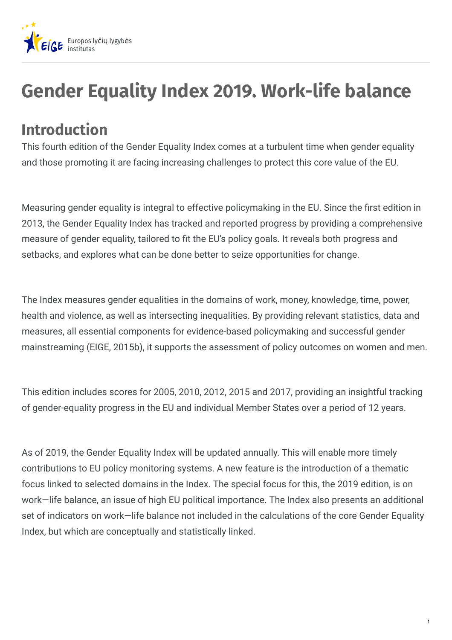

## **Gender Equality Index 2019. Work-life balance**

## **Introduction**

This fourth edition of the Gender Equality Index comes at a turbulent time when gender equality and those promoting it are facing increasing challenges to protect this core value of the EU.

Measuring gender equality is integral to effective policymaking in the EU. Since the first edition in 2013, the Gender Equality Index has tracked and reported progress by providing a comprehensive measure of gender equality, tailored to fit the EU's policy goals. It reveals both progress and setbacks, and explores what can be done better to seize opportunities for change.

The Index measures gender equalities in the domains of work, money, knowledge, time, power, health and violence, as well as intersecting inequalities. By providing relevant statistics, data and measures, all essential components for evidence-based policymaking and successful gender mainstreaming (EIGE, 2015b), it supports the assessment of policy outcomes on women and men.

This edition includes scores for 2005, 2010, 2012, 2015 and 2017, providing an insightful tracking of gender-equality progress in the EU and individual Member States over a period of 12 years.

As of 2019, the Gender Equality Index will be updated annually. This will enable more timely contributions to EU policy monitoring systems. A new feature is the introduction of a thematic focus linked to selected domains in the Index. The special focus for this, the 2019 edition, is on work—life balance, an issue of high EU political importance. The Index also presents an additional set of indicators on work—life balance not included in the calculations of the core Gender Equality Index, but which are conceptually and statistically linked.